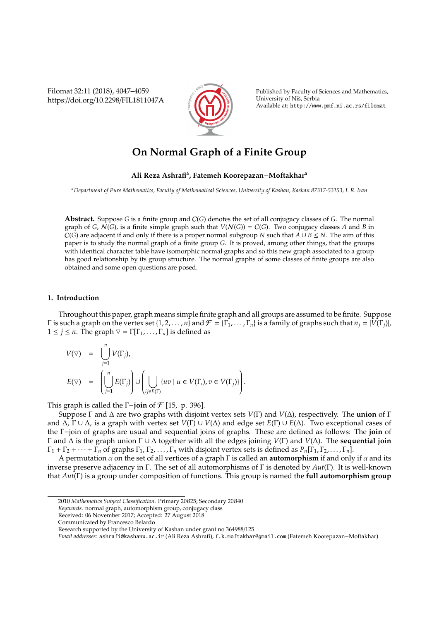Filomat 32:11 (2018), 4047–4059 https://doi.org/10.2298/FIL1811047A



Published by Faculty of Sciences and Mathematics, University of Nis, Serbia ˇ Available at: http://www.pmf.ni.ac.rs/filomat

# **On Normal Graph of a Finite Group**

## **Ali Reza Ashrafi<sup>a</sup> , Fatemeh Koorepazan**−**Moftakhar<sup>a</sup>**

*<sup>a</sup>Department of Pure Mathematics, Faculty of Mathematical Sciences, University of Kashan, Kashan 87317-53153, I. R. Iran*

**Abstract.** Suppose *G* is a finite group and C(*G*) denotes the set of all conjugacy classes of *G*. The normal graph of *G*,  $N(G)$ , is a finite simple graph such that  $V(N(G)) = C(G)$ . Two conjugacy classes *A* and *B* in  $C(G)$  are adjacent if and only if there is a proper normal subgroup *N* such that  $A \cup B \le N$ . The aim of this paper is to study the normal graph of a finite group *G*. It is proved, among other things, that the groups with identical character table have isomorphic normal graphs and so this new graph associated to a group has good relationship by its group structure. The normal graphs of some classes of finite groups are also obtained and some open questions are posed.

### **1. Introduction**

Throughout this paper, graph means simple finite graph and all groups are assumed to be finite. Suppose Γ is such a graph on the vertex set {1, 2, . . . , *n*} and  $\mathcal{F} = \{\Gamma_1, \ldots, \Gamma_n\}$  is a family of graphs such that  $n_j = |V(\Gamma_j)|$ ,  $1 \le j \le n$ . The graph  $\nabla = \Gamma[\Gamma_1, \ldots, \Gamma_n]$  is defined as

$$
\begin{array}{lcl} V(\nabla) & = & \bigcup\limits_{j=1}^n V(\Gamma_j), \\[1ex] E(\nabla) & = & \left(\bigcup\limits_{j=1}^n E(\Gamma_j)\right) \cup \left(\bigcup\limits_{ij \in E(\Gamma)} \{uv \mid u \in V(\Gamma_i), v \in V(\Gamma_j)\}\right). \end{array}
$$

This graph is called the Γ−**join** of F [15, p. 396].

Suppose Γ and ∆ are two graphs with disjoint vertex sets *V*(Γ) and *V*(∆), respectively. The **union** of Γ and ∆, Γ ∪ ∆, is a graph with vertex set *V*(Γ) ∪ *V*(∆) and edge set *E*(Γ) ∪ *E*(∆). Two exceptional cases of the Γ−join of graphs are usual and sequential joins of graphs. These are defined as follows: The **join** of Γ and ∆ is the graph union Γ ∪ ∆ together with all the edges joining *V*(Γ) and *V*(∆). The **sequential join**  $\Gamma_1 + \Gamma_2 + \cdots + \Gamma_n$  of graphs  $\Gamma_1, \Gamma_2, \ldots, \Gamma_n$  with disjoint vertex sets is defined as  $P_n[\Gamma_1, \Gamma_2, \ldots, \Gamma_n]$ .

A permutation  $\alpha$  on the set of all vertices of a graph  $\Gamma$  is called an **automorphism** if and only if  $\alpha$  and its inverse preserve adjacency in Γ. The set of all automorphisms of Γ is denoted by *Aut*(Γ). It is well-known that *Aut*(Γ) is a group under composition of functions. This group is named the **full automorphism group**

<sup>2010</sup> *Mathematics Subject Classification*. Primary 20*B*25; Secondary 20*B*40

*Keywords*. normal graph, automorphism group, conjugacy class

Received: 06 November 2017; Accepted: 27 August 2018

Communicated by Francesco Belardo

Research supported by the University of Kashan under grant no 364988/125

*Email addresses:* ashrafi@kashanu.ac.ir (Ali Reza Ashrafi), f.k.moftakhar@gmail.com (Fatemeh Koorepazan−Moftakhar)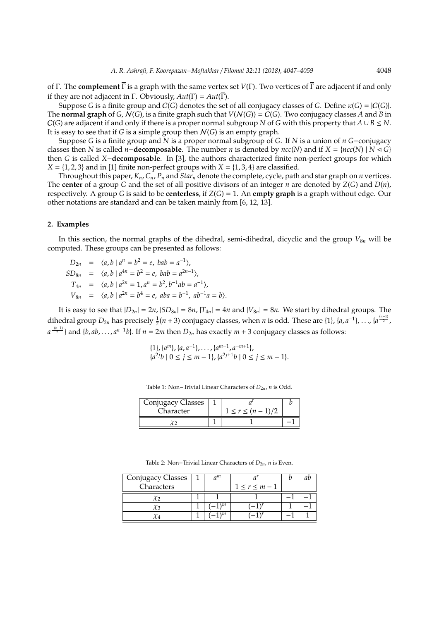of Γ. The **complement** Γ is a graph with the same vertex set *V*(Γ). Two vertices of Γ are adjacent if and only if they are not adjacent in Γ. Obviously, *Aut*(Γ) = *Aut*(Γ).

Suppose *G* is a finite group and  $C(G)$  denotes the set of all conjugacy classes of *G*. Define  $\kappa(G) = |C(G)|$ . The **normal graph** of *G*,  $N(G)$ , is a finite graph such that  $V(N(G)) = C(G)$ . Two conjugacy classes *A* and *B* in  $C(G)$  are adjacent if and only if there is a proper normal subgroup *N* of *G* with this property that  $A \cup B \le N$ . It is easy to see that if *G* is a simple group then  $N(G)$  is an empty graph.

Suppose *G* is a finite group and *N* is a proper normal subgroup of *G*. If *N* is a union of *n G*−conjugacy classes then *N* is called *n*−**decomposable**. The number *n* is denoted by *ncc*(*N*) and if  $X = {ncc(N) | N \triangleleft G}$ then *G* is called *X*−**decomposable**. In [3], the authors characterized finite non-perfect groups for which  $X = \{1, 2, 3\}$  and in [1] finite non-perfect groups with  $X = \{1, 3, 4\}$  are classified.

Throughout this paper,  $K_n$ ,  $C_n$ ,  $P_n$  and  $Star_n$  denote the complete, cycle, path and star graph on *n* vertices. The **center** of a group *G* and the set of all positive divisors of an integer *n* are denoted by *Z*(*G*) and *D*(*n*), respectively. A group *G* is said to be **centerless**, if *Z*(*G*) = 1. An **empty graph** is a graph without edge. Our other notations are standard and can be taken mainly from [6, 12, 13].

#### **2. Examples**

In this section, the normal graphs of the dihedral, semi-dihedral, dicyclic and the group  $V_{8n}$  will be computed. These groups can be presented as follows:

 $D_{2n} = \langle a, b \mid a^n = b^2 = e, bab = a^{-1} \rangle$  $SD_{8n}$  =  $\langle a, b \mid a^{4n} = b^2 = e, bab = a^{2n-1} \rangle$ ,  $T_{4n}$  =  $\langle a, b \mid a^{2n} = 1, a^n = b^2, b^{-1}ab = a^{-1} \rangle$ ,  $V_{8n}$  =  $\langle a, b \mid a^{2n} = b^4 = e, aba = b^{-1}, ab^{-1}a = b \rangle.$ 

It is easy to see that  $|D_{2n}| = 2n$ ,  $|SD_{8n}| = 8n$ ,  $|T_{4n}| = 4n$  and  $|V_{8n}| = 8n$ . We start by dihedral groups. The dihedral group  $D_{2n}$  has precisely  $\frac{1}{2}(n+3)$  conjugacy classes, when *n* is odd. These are {1}, {*a*, *a*<sup>-1</sup>}, ..., {*a*<sup>(*n*-1)</sup>}  $a^{\frac{-(n-1)}{2}}$ } and {*b*, *ab*, . . . , *a*<sup>*n*-1</sup>*b*}. If *n* = 2*m* then  $D_{2n}$  has exactly *m* + 3 conjugacy classes as follows:

$$
\{1\}, \{a^m\}, \{a, a^{-1}\}, \dots, \{a^{m-1}, a^{-m+1}\},\
$$
  

$$
\{a^{2j}b \mid 0 \le j \le m-1\}, \{a^{2j+1}b \mid 0 \le j \le m-1\}.
$$

Table 1: Non-Trivial Linear Characters of  $D_{2n}$ , *n* is Odd.

| Conjugacy Classes |  |                       |  |
|-------------------|--|-----------------------|--|
| Character         |  | $1 \le r \le (n-1)/2$ |  |
|                   |  |                       |  |

| Conjugacy Classes |  | $\sigma^m$    |                     |  |
|-------------------|--|---------------|---------------------|--|
| Characters        |  |               | $1 \leq r \leq m-1$ |  |
|                   |  |               |                     |  |
|                   |  | \m            |                     |  |
|                   |  | $\setminus m$ |                     |  |

Table 2: Non–Trivial Linear Characters of *D*<sub>2*n*</sub>, *n* is Even.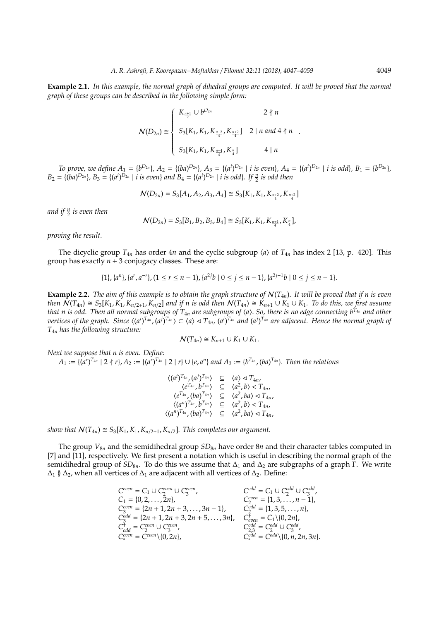**Example 2.1.** *In this example, the normal graph of dihedral groups are computed. It will be proved that the normal graph of these groups can be described in the following simple form:*

$$
\mathcal{N}(D_{2n}) \cong \begin{cases} K_{\frac{n+1}{2}} \cup b^{D_{2n}} & 2 \nmid n \\ S_3[K_1, K_1, K_{\frac{n+2}{4}}, K_{\frac{n+2}{4}}] & 2 \mid n \text{ and } 4 \nmid n \\ S_3[K_1, K_1, K_{\frac{n+4}{4}}, K_{\frac{n}{4}}] & 4 \mid n \end{cases}
$$

.

To prove, we define  $A_1 = \{b^{D_{2n}}\}, A_2 = \{(ba)^{D_{2n}}\}, A_3 = \{(a^i)^{D_{2n}} \mid i \text{ is even}\}, A_4 = \{(a^i)^{D_{2n}} \mid i \text{ is odd}\}, B_1 = \{b^{D_{2n}}\}, B_2 = \{(ba)^{D_{2n}} \mid a \text{ is odd}\}$  $B_2 = \{(ba)^{D_{2n}}\}, B_3 = \{(a^i)^{D_{2n}} \mid i \text{ is even}\}$  and  $B_4 = \{(a^i)^{D_{2n}} \mid i \text{ is odd}\}.$  If  $\frac{n}{2}$  is odd then

$$
\mathcal{N}(D_{2n}) = S_3[A_1, A_2, A_3, A_4] \cong S_3[K_1, K_1, K_{\frac{n+2}{4}}, K_{\frac{n+2}{4}}]
$$

*and if <sup>n</sup>* 2 *is even then*

$$
\mathcal{N}(D_{2n})=S_3[B_1,B_2,B_3,B_4]\cong S_3[K_1,K_1,K_{\frac{n+4}{4}},K_{\frac{n}{4}}],
$$

*proving the result.*

The dicyclic group  $T_{4n}$  has order  $4n$  and the cyclic subgroup  $\langle a \rangle$  of  $T_{4n}$  has index 2 [13, p. 420]. This group has exactly  $n + 3$  conjugacy classes. These are:

$$
\{1\}, \{a^n\}, \{a^r, a^{-r}\}, \{1 \le r \le n-1\}, \{a^{2j}b \mid 0 \le j \le n-1\}, \{a^{2j+1}b \mid 0 \le j \le n-1\}.
$$

**Example 2.2.** *The aim of this example is to obtain the graph structure of*  $N(T_{4n})$ *. It will be proved that if n is even* then  $N(T_{4n}) \cong S_3[K_1, K_1, K_{n/2+1}, K_{n/2}]$  and if n is odd then  $N(T_{4n}) \cong K_{n+1} \cup K_1 \cup K_1$ . To do this, we first assume *that n is odd. Then all normal subgroups of T*4*<sup>n</sup> are subgroups of* h*a*i. *So, there is no edge connecting bT*4*<sup>n</sup> and other* vertices of the graph. Since  $\langle (a^i)^{T_{4n}}, (a^j)^{T_{4n}} \rangle \subset \langle a \rangle \lhd T_{4n}$ ,  $(a^i)^{T_{4n}}$  and  $(a^j)^{T_{4n}}$  are adjacent. Hence the normal graph of *T*4*<sup>n</sup> has the following structure:*

$$
\mathcal{N}(T_{4n}) \cong K_{n+1} \cup K_1 \cup K_1.
$$

*Next we suppose that n is even. Define:*

 $A_1 := \{(a^r)^{T_{4n}} \mid 2 \nmid r\}, A_2 := \{(a^r)^{T_{4n}} \mid 2 \mid r\} \cup \{e, a^n\}$  and  $A_3 := \{b^{T_{4n}}, (ba)^{T_{4n}}\}.$  Then the relations

$$
\langle (a^i)^{T_{4n}}, (a^j)^{T_{4n}} \rangle \subseteq \langle a \rangle \triangleleft T_{4n},
$$
  
\n
$$
\langle e^{T_{4n}}, b^{T_{4n}} \rangle \subseteq \langle a^2, b \rangle \triangleleft T_{4n},
$$
  
\n
$$
\langle e^{T_{4n}}, (ba)^{T_{4n}} \rangle \subseteq \langle a^2, ba \rangle \triangleleft T_{4n},
$$
  
\n
$$
\langle (a^n)^{T_{4n}}, b^{T_{4n}} \rangle \subseteq \langle a^2, b \rangle \triangleleft T_{4n},
$$
  
\n
$$
\langle (a^n)^{T_{4n}}, (ba)^{T_{4n}} \rangle \subseteq \langle a^2, ba \rangle \triangleleft T_{4n},
$$

*show that*  $N(T_{4n}) \cong S_3[K_1, K_1, K_{n/2+1}, K_{n/2}]$ . This completes our argument.

The group *V*8*<sup>n</sup>* and the semidihedral group *SD*8*<sup>n</sup>* have order 8*n* and their character tables computed in [7] and [11], respectively. We first present a notation which is useful in describing the normal graph of the semidihedral group of  $SD_{8n}$ . To do this we assume that  $\Delta_1$  and  $\Delta_2$  are subgraphs of a graph Γ. We write  $\Delta_1$  ≬  $\Delta_2$ , when all vertices of  $\Delta_1$  are adjacent with all vertices of  $\Delta_2$ . Define:

> $C^{even} = C_1 \cup C_2^{even} \cup C_3^{even}$ ,  $C^{odd} = C_1 \cup C_2^{odd} \cup C_3^{odd}$  $C_1 = \{0, 2, \ldots, 2n\},\n\qquad\n\begin{aligned}\nC_2^{even} &= \{1, 3, \ldots, n-1\},\n\end{aligned}$  $C_{3}^{even} = \{2n+1, 2n+3, \ldots, 3n-1\}, \qquad C_{2}^{odd} = \{1, 3, 5, \ldots, n\},\$  $C_{3}^{\text{odd}} = \{2n + 1, 2n + 3, 2n + 5, \ldots, 3n\}, \quad C_{even}^{\dagger} = C_{1}\{0, 2n\},\}$  $C_{odd}^{\dagger} = C_2^{even} \cup C_3^{even}$ ,  $C_{2,3}^{odd} = C_2^{odd} \cup C_3^{odd}$ ,  $C_*^{\text{even}} = C^{\text{even}} \setminus \{0, 2n\}, \qquad C_*^{\text{odd}} = C^{\text{odd}} \setminus \{0, n, 2n, 3n\}.$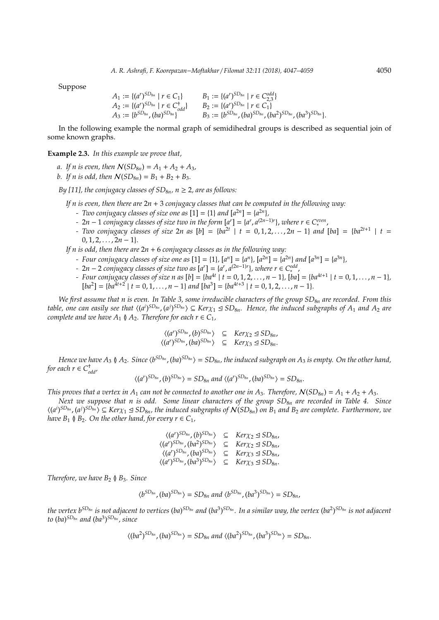Suppose

$$
A_1 := \{(a^r)^{SD_{8n}} \mid r \in C_1\} \qquad B_1 := \{(a^r)^{SD_{8n}} \mid r \in C_{2,3}^{odd}\}
$$
  
\n
$$
A_2 := \{(a^r)^{SD_{8n}} \mid r \in C_{odd}^{\dagger}\} \qquad B_2 := \{(a^r)^{SD_{8n}} \mid r \in C_1\}
$$
  
\n
$$
A_3 := \{b^{SD_{8n}}, (ba)^{SD_{8n}}\} \qquad B_3 := \{b^{SD_{8n}}, (ba)^{SD_{8n}}, (ba^2)^{SD_{8n}}, (ba^3)^{SD_{8n}}\}.
$$

In the following example the normal graph of semidihedral groups is described as sequential join of some known graphs.

**Example 2.3.** *In this example we prove that,*

*a.* If *n* is even, then  $N(SD_{8n}) = A_1 + A_2 + A_3$ ,

*b.* If *n* is odd, then  $N(SD_{8n}) = B_1 + B_2 + B_3$ .

*By [11], the conjugacy classes of*  $SD_{8n}$ *,*  $n \geq 2$ *, are as follows:* 

*If n is even, then there are* 2*n* + 3 *conjugacy classes that can be computed in the following way:*

- *Two conjugacy classes of size one as*  $[1] = \{1\}$  *and*  $[a^{2n}] = \{a^{2n}\},$
- *-* 2*n* − 1 *conjugacy classes of size two in the form*  $[a^r] = \{a^r, a^{(2n-1)r}\}$ , *where r* ∈ *C*<sup>*even*</sup>,
- *Two conjugacy classes of size* 2*n as* [*b*] = {*ba*2*<sup>t</sup>* | *t* = 0, 1, 2, . . . , 2*n* − 1} *and* [*ba*] = {*ba*2*t*+<sup>1</sup> | *t* =  $0, 1, 2, \ldots, 2n - 1$ }.

*If n is odd, then there are* 2*n* + 6 *conjugacy classes as in the following way:*

- Four conjugacy classes of size one as  $[1] = \{1\}$ ,  $[a^n] = \{a^n\}$ ,  $[a^{2n}] = \{a^{2n}\}$  and  $[a^{3n}] = \{a^{3n}\}$ ,
- *-* 2*n* − 2 *conjugacy classes of size two as*  $[a^r] = \{a^r, a^{(2n-1)r}\}$ *, where r* ∈ C<sup>*odd*</sup>,
- $-$  *Four conjugacy classes of size n as*  $[b] = \{ba^{4t} | t = 0, 1, 2, ..., n-1\}$ ,  $[ba] = \{ba^{4t+1} | t = 0, 1, ..., n-1\}$ ,  $[ba^2] = \{ba^{4t+2} \mid t = 0, 1, \ldots, n-1\}$  and  $[ba^3] = \{ba^{4t+3} \mid t = 0, 1, 2, \ldots, n-1\}.$

*We first assume that n is even. In Table 3, some irreducible characters of the group SD<sub>8<i>n</sub>* are recorded. From this</sub> table, one can easily see that  $\langle (a^i)^{SD_{8n}}, (a^j)^{SD_{8n}} \rangle \subseteq Ker\chi_1 \trianglelefteq SD_{8n}$ . Hence, the induced subgraphs of  $A_1$  and  $A_2$  are *complete and we have*  $A_1 \nsubseteq A_2$ *. Therefore for each*  $r \in C_1$ *,* 

$$
\langle (a^r)^{SD_{8n}}, (b)^{SD_{8n}} \rangle \subseteq \text{Ker} \chi_2 \trianglelefteq SD_{8n},
$$
  

$$
\langle (a^r)^{SD_{8n}}, (ba)^{SD_{8n}} \rangle \subseteq \text{Ker} \chi_3 \trianglelefteq SD_{8n}.
$$

Hence we have  $A_3\between A_2$ . Since  $\langle b^{SD_{8n}}/ (ba)^{SD_{8n}}\rangle= SD_{8n}$ , the induced subgraph on  $A_3$  is empty. On the other hand, *for each*  $r \in C_{odd}^{\dagger}$ 

$$
\langle (a^r)^{SD_{8n}}, (b)^{SD_{8n}} \rangle = SD_{8n} \text{ and } \langle (a^r)^{SD_{8n}}, (ba)^{SD_{8n}} \rangle = SD_{8n}.
$$

*This proves that a vertex in A<sub>1</sub> can not be connected to another one in A<sub>3</sub>. Therefore,*  $N(SD_{8n}) = A_1 + A_2 + A_3$ *.* 

*Next we suppose that n is odd. Some linear characters of the group SD*8*<sup>n</sup> are recorded in Table 4. Since*  $\langle (a^i)^{SD_{8n}}$ ,  $(a^j)^{SD_{8n}} \rangle \subseteq Ker \chi_1 \trianglelefteq SD_{8n}$ , the induced subgraphs of  $N(SD_{8n})$  on  $B_1$  and  $B_2$  are complete. Furthermore, we *have*  $B_1 \mathbf{0} B_2$ *. On the other hand, for every*  $r \in C_1$ *,* 

$$
\langle (a^r)^{SD_{8n}}, (b)^{SD_{8n}} \rangle \subseteq \text{Ker}_{X2} \trianglelefteq SD_{8n},
$$
  

$$
\langle (a^r)^{SD_{8n}}, (ba^2)^{SD_{8n}} \rangle \subseteq \text{Ker}_{X2} \trianglelefteq SD_{8n},
$$
  

$$
\langle (a^r)^{SD_{8n}}, (ba)^{SD_{8n}} \rangle \subseteq \text{Ker}_{X3} \trianglelefteq SD_{8n},
$$
  

$$
\langle (a^r)^{SD_{8n}}, (ba^3)^{SD_{8n}} \rangle \subseteq \text{Ker}_{X3} \trianglelefteq SD_{8n}.
$$

*Therefore, we have*  $B_2 \nsubseteq B_3$ *. Since* 

$$
\langle b^{SD_{8n}}, (ba)^{SD_{8n}}\rangle=SD_{8n} \ and \ \langle b^{SD_{8n}}, (ba^3)^{SD_{8n}}\rangle=SD_{8n},
$$

the vertex b<sup>SD<sub>8n</sub> is not adjacent to vertices (ba)<sup>SD</sup>8n and (ba<sup>3</sup>)<sup>SD</sup>8n. In a similar way, the vertex (ba<sup>2</sup>)<sup>SD</sup>8n is not adjacent</sup> *to* (*ba*) *SD*8*<sup>n</sup> and* (*ba*<sup>3</sup> ) *SD*8*<sup>n</sup> , since*

$$
\langle (ba^2)^{SD_{8n}}, (ba)^{SD_{8n}} \rangle = SD_{8n}
$$
 and  $\langle (ba^2)^{SD_{8n}}, (ba^3)^{SD_{8n}} \rangle = SD_{8n}$ .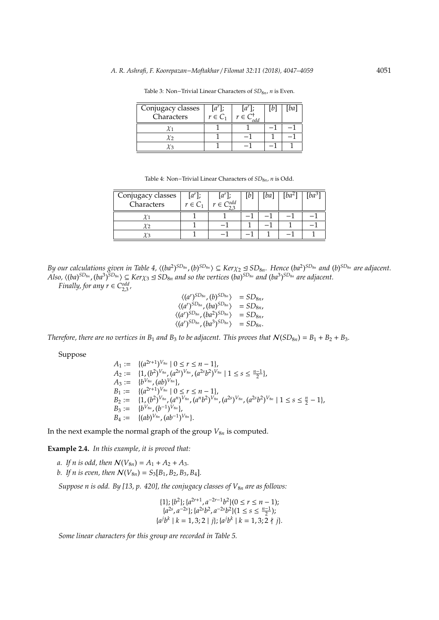| Conjugacy classes<br>Characters | $[a^r]$<br>$r \in C_1$ | $[a^r]$ :<br>$r \in C$<br>odd | ba |
|---------------------------------|------------------------|-------------------------------|----|
|                                 |                        |                               |    |
|                                 |                        |                               |    |
|                                 |                        |                               |    |

Table 3: Non–Trivial Linear Characters of *SD*<sub>8*n*</sub>, *n* is Even.

Table 4: Non−Trivial Linear Characters of *SD*8*n*, *n* is Odd.

| Conjugacy classes<br>Characters | $[a^r]$ ;<br>$r \in C_1$ | $ a^r $<br>$r \in C^{odd}$ | [b] | 'ba | ba- |  |
|---------------------------------|--------------------------|----------------------------|-----|-----|-----|--|
|                                 |                          |                            |     |     |     |  |
| Y 2                             |                          |                            |     |     |     |  |
|                                 |                          |                            |     |     |     |  |

By our calculations given in Table 4,  $\langle (ba^2)^{SD_{8n}}$ ,  $(b)^{SD_{8n}} \rangle \subseteq Ker \chi_2 \trianglelefteq SD_{8n}$ . Hence  $(ba^2)^{SD_{8n}}$  and  $(b)^{SD_{8n}}$  are adjacent. Also,  $\langle (ba)^{SD_{8n}} , (ba^3)^{SD_{8n}} \rangle \subseteq Ker\chi_3 \trianglelefteq SD_{8n}$  and so the vertices  $(ba)^{SD_{8n}}$  and  $(ba^3)^{SD_{8n}}$  are adjacent.

*Finally, for any*  $r \in C_{2,3}^{odd}$ ,

$$
\langle (a^r)^{SD_{8n}}, (b)^{SD_{8n}} \rangle = SD_{8n},
$$
  
\n
$$
\langle (a^r)^{SD_{8n}}, (ba)^{SD_{8n}} \rangle = SD_{8n},
$$
  
\n
$$
\langle (a^r)^{SD_{8n}}, (ba^2)^{SD_{8n}} \rangle = SD_{8n},
$$
  
\n
$$
\langle (a^r)^{SD_{8n}}, (ba^3)^{SD_{8n}} \rangle = SD_{8n}.
$$

*Therefore, there are no vertices in*  $B_1$  *and*  $B_3$  *to be adjacent. This proves that*  $N(SD_{8n}) = B_1 + B_2 + B_3$ *.* 

Suppose

$$
A_1 := \{(a^{2r+1})^{V_{8n}} | 0 \le r \le n-1\},
$$
  
\n
$$
A_2 := \{1, (b^2)^{V_{8n}}, (a^{2s})^{V_{8n}}, (a^{2s}b^2)^{V_{8n}} | 1 \le s \le \frac{n-1}{2}\},
$$
  
\n
$$
A_3 := \{b^{V_{8n}}, (ab)^{V_{8n}}\},
$$
  
\n
$$
B_1 := \{(a^{2r+1})^{V_{8n}} | 0 \le r \le n-1\},
$$
  
\n
$$
B_2 := \{1, (b^2)^{V_{8n}}, (a^n)^{V_{8n}}, (a^n b^2)^{V_{8n}}, (a^{2s})^{V_{8n}}, (a^{2s}b^2)^{V_{8n}} | 1 \le s \le \frac{n}{2} - 1\},
$$
  
\n
$$
B_3 := \{b^{V_{8n}}, (b^{-1})^{V_{8n}}\},
$$
  
\n
$$
B_4 := \{(ab)^{V_{8n}}, (ab^{-1})^{V_{8n}}\}.
$$

In the next example the normal graph of the group  $V_{8n}$  is computed.

**Example 2.4.** *In this example, it is proved that:*

*a.* If *n* is odd, then  $N(V_{8n}) = A_1 + A_2 + A_3$ . *b.* If *n* is even, then  $N(V_{8n}) = S_3[B_1, B_2, B_3, B_4]$ .

*Suppose n is odd. By [13, p. 420], the conjugacy classes of*  $V_{8n}$  *are as follows:* 

$$
{1}; \{b^2\}; \{a^{2r+1}, a^{-2r-1}b^2\} (0 \le r \le n-1);
$$
  
\n
$$
{a^{2s}, a^{-2s}}; \{a^{2s}b^2, a^{-2s}b^2\} (1 \le s \le \frac{n-1}{2});
$$
  
\n
$$
{a^j b^k \mid k = 1, 3; 2 \mid j\}; \{a^j b^k \mid k = 1, 3; 2 \nmid j\}.
$$

*Some linear characters for this group are recorded in Table 5.*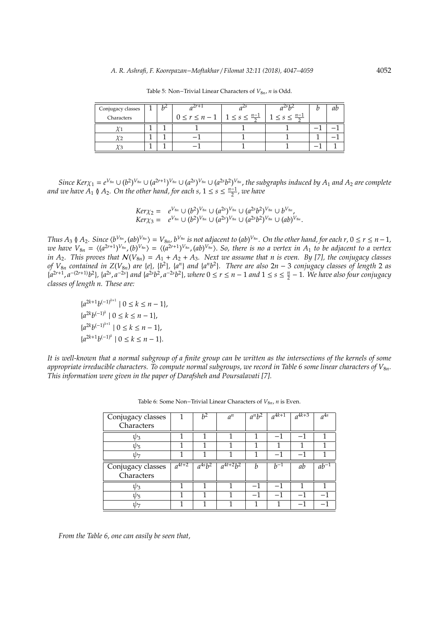| Conjugacy classes | h | $2r + 7$            |                               |                           |  |
|-------------------|---|---------------------|-------------------------------|---------------------------|--|
| Characters        |   | $0 \leq r \leq n-1$ | $1 \leq s \leq \frac{n-1}{2}$ | $<$ s $<$ $\frac{n-1}{2}$ |  |
|                   |   |                     |                               |                           |  |
|                   |   |                     |                               |                           |  |
|                   |   |                     |                               |                           |  |

Table 5: Non–Trivial Linear Characters of  $V_{8n}$ , *n* is Odd.

Since Ker $\chi_1=e^{V_{8n}}\cup (b^2)^{V_{8n}}\cup (a^{2r+1})^{V_{8n}}\cup (a^{2s})^{V_{8n}}\cup (a^{2s}b^2)^{V_{8n}}$ , the subgraphs induced by  $A_1$  and  $A_2$  are complete *and we have*  $A_1 \nvert A_2$ . On the other hand, for each s,  $1 \le s \le \frac{n-1}{2}$ , we have

$$
Ker \chi_2 = e^{V_{8n}} \cup (b^2)^{V_{8n}} \cup (a^{2s})^{V_{8n}} \cup (a^{2s}b^2)^{V_{8n}} \cup b^{V_{8n}},
$$
  

$$
Ker \chi_3 = e^{V_{8n}} \cup (b^2)^{V_{8n}} \cup (a^{2s})^{V_{8n}} \cup (a^{2s}b^2)^{V_{8n}} \cup (ab)^{V_{8n}}.
$$

Thus  $A_3 \nmid A_2$ . Since  $\langle b^{V_{8n}}(ab)^{V_{8n}}\rangle = V_{8n}$ ,  $b^{V_{8n}}$  is not adjacent to  $(ab)^{V_{8n}}$ . On the other hand, for each  $r, 0 \le r \le n-1$ , we have  $V_{8n} = \langle (a^{2r+1})^{V_{8n}}, (b)^{V_{8n}} \rangle = \langle (a^{2r+1})^{V_{8n}}, (ab)^{V_{8n}} \rangle$ . So, there is no a vertex in  $A_1$  to be adjacent to a vertex *in A*<sub>2</sub>*.* This proves that  $N(V_{8n}) = A_1 + A_2 + A_3$ . Next we assume that n is even. By [7], the conjugacy classes of  $V_{8n}$  contained in  $Z(V_{8n})$  are {e}, {b<sup>2</sup>}, {a<sup>n</sup>} and {a<sup>n</sup>b<sup>2</sup>}. There are also  $2n-3$  conjugacy classes of length 2 as  $[a^{2r+1}, a^{-(2r+1)}b^2]$ ,  $\{a^{2s}, a^{-2s}\}\$  and  $\{a^{2s}b^2, a^{-2s}b^2\}$ , where  $0 \le r \le n-1$  and  $1 \le s \le \frac{n}{2}-1$ . We have also four conjugacy *classes of length n. These are:*

 ${a^{2k+1}b^{(-1)^{k+1}} \mid 0 \leq k \leq n-1},$  ${a^{2k}b^{(-1)^k} \mid 0 \le k \le n-1},$  ${a^{2k}b^{(-1)^{k+1}} \mid 0 \leq k \leq n-1},$  ${a^{2k+1}b^{(-1)^k} \mid 0 \leq k \leq n-1}.$ 

*It is well-known that a normal subgroup of a finite group can be written as the intersections of the kernels of some appropriate irreducible characters. To compute normal subgroups, we record in Table 6 some linear characters of V*8*n. This information were given in the paper of Darafsheh and Poursalavati [7].*

| Conjugacy classes |            | h <sup>2</sup> | $a^n$         | $a^n b^2$ | $a^{4k+1}$ | $a^{4k+3}$ | $a^{4s}$             |
|-------------------|------------|----------------|---------------|-----------|------------|------------|----------------------|
| Characters        |            |                |               |           |            |            |                      |
| $\psi_3$          |            | 1              |               | 1         |            |            | 1                    |
| $\psi_5$          |            |                |               |           |            |            |                      |
| 11) 7             |            |                |               |           |            |            |                      |
| Conjugacy classes | $a^{4t+2}$ | $a^{4s}b^2$    | $a^{4t+2}b^2$ | h         | $h^{-1}$   | ab         | $a\overline{b^{-1}}$ |
| Characters        |            |                |               |           |            |            |                      |
| $\nu_3$           |            |                |               |           |            |            |                      |
| $\psi_5$          |            |                |               |           |            |            |                      |
|                   |            |                |               |           |            |            |                      |

Table 6: Some Non–Trivial Linear Characters of *V*<sub>8*n*</sub>, *n* is Even.

*From the Table 6, one can easily be seen that,*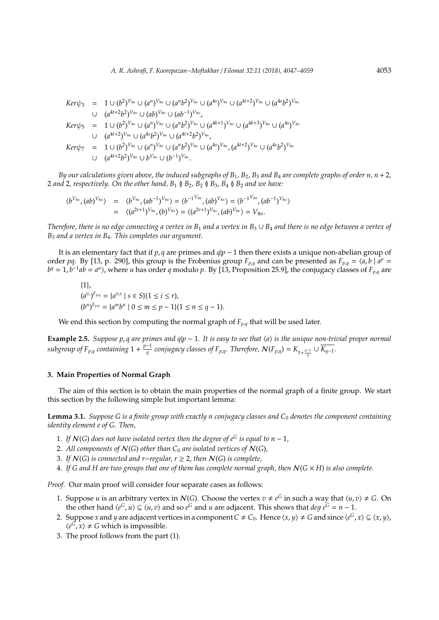$$
Ker\psi_3 = 1 \cup (b^2)^{V_{8n}} \cup (a^n)^{V_{8n}} \cup (a^n b^2)^{V_{8n}} \cup (a^{4s})^{V_{8n}} \cup (a^{4t+2})^{V_{8n}} \cup (a^{4s}b^2)^{V_{8n}}
$$
  
\n
$$
\cup (a^{4t+2}b^2)^{V_{8n}} \cup (ab)^{V_{8n}} \cup (ab^{-1})^{V_{8n}},
$$
  
\n
$$
Ker\psi_5 = 1 \cup (b^2)^{V_{8n}} \cup (a^n)^{V_{8n}} \cup (a^n b^2)^{V_{8n}} \cup (a^{4k+1})^{V_{8n}} \cup (a^{4k+3})^{V_{8n}} \cup (a^{4s})^{V_{8n}}
$$
  
\n
$$
\cup (a^{4t+2})^{V_{8n}} \cup (a^{4s}b^2)^{V_{8n}} \cup (a^{4t+2}b^2)^{V_{8n}},
$$
  
\n
$$
Ker\psi_7 = 1 \cup (b^2)^{V_{8n}} \cup (a^n)^{V_{8n}} \cup (a^n b^2)^{V_{8n}} \cup (a^{4s})^{V_{8n}}, (a^{4t+2})^{V_{8n}} \cup (a^{4s}b^2)^{V_{8n}}
$$
  
\n
$$
\cup (a^{4t+2}b^2)^{V_{8n}} \cup b^{V_{8n}} \cup (b^{-1})^{V_{8n}}.
$$

*By our calculations given above, the induced subgraphs of*  $B_1$ *,*  $B_2$ *,*  $B_3$  *and*  $B_4$  *are complete graphs of order n,*  $n + 2$ *,* 2 *and* 2, respectively. On the other hand,  $B_1 \uparrow B_2$ ,  $B_2 \uparrow B_3$ ,  $B_4 \uparrow B_2$  *and we have:* 

$$
\langle b^{V_{8n}}, (ab)^{V_{8n}} \rangle = \langle b^{V_{8n}}, (ab^{-1})^{V_{8n}} \rangle = \langle b^{-1}^{V_{8n}}, (ab)^{V_{8n}} \rangle = \langle b^{-1}^{V_{8n}}, (ab)^{V_{8n}} \rangle = \langle (a^{2r+1})^{V_{8n}}, (bb)^{V_{8n}} \rangle = \langle (a^{2r+1})^{V_{8n}}, (ab)^{V_{8n}} \rangle = V_{8n}.
$$

*Therefore, there is no edge connecting a vertex in B*<sup>1</sup> *and a vertex in B*<sup>3</sup> ∪ *B*<sup>4</sup> *and there is no edge between a vertex of B*<sup>3</sup> *and a vertex in B*4*. This completes our argument.*

It is an elementary fact that if *p*, *q* are primes and *q*|*p* − 1 then there exists a unique non-abelian group of order pq. By [13, p. 290], this group is the Frobenius group  $F_{p,q}$  and can be presented as  $F_{p,q} = \langle a, b \mid a^p = a \rangle$  $b^q = 1$ ,  $b^{-1}ab = a^u$ ), where *u* has order *q* modulo *p*. By [13, Proposition 25.9], the conjugacy classes of  $F_{p,q}$  are

$$
\{1\},\
$$
  
\n
$$
(a^{v_i})^{F_{p,q}} = \{a^{v_i s} \mid s \in S\} (1 \le i \le r),
$$
  
\n
$$
(b^n)^{F_{p,q}} = \{a^m b^n \mid 0 \le m \le p - 1\} (1 \le n \le q - 1).
$$

We end this section by computing the normal graph of  $F_{p,q}$  that will be used later.

**Example 2.5.** *Suppose p*, *q are primes and q*|*p* − 1*. It is easy to see that* h*a*i *is the unique non-trivial proper normal subgroup of*  $F_{p,q}$  *containing*  $1 + \frac{p-1}{q}$  $\frac{1}{q}$  conjugacy classes of F<sub>p,q</sub>. Therefore,  $\mathcal{N}(F_{p,q}) = K_{1+\frac{p-1}{q}} \cup \overline{K_{q-1}}.$ 

## **3. Main Properties of Normal Graph**

The aim of this section is to obtain the main properties of the normal graph of a finite group. We start this section by the following simple but important lemma:

**Lemma 3.1.** *Suppose G is a finite group with exactly n conjugacy classes and C*<sup>0</sup> *denotes the component containing identity element e of G. Then,*

- 1. If  $N(G)$  does not have isolated vertex then the degree of  $e^G$  is equal to  $n-1$ ,
- 2. All components of  $N(G)$  other than  $C_0$  are isolated vertices of  $N(G)$ ,
- 3. *If* N(*G*) *is connected and r*−*regular, r* ≥ 2*, then* N(*G*) *is complete,*
- 4. If G and H are two groups that one of them has complete normal graph, then  $N(G \times H)$  is also complete.

*Proof.* Our main proof will consider four separate cases as follows:

- 1. Suppose *u* is an arbitrary vertex in  $N(G)$ . Choose the vertex  $v \neq e^G$  in such a way that  $\langle u, v \rangle \neq G$ . On the other hand  $\langle e^G, u \rangle \subseteq \langle u, v \rangle$  and so  $e^G$  and *u* are adjacent. This shows that  $deg \ e^G = n - 1$ .
- 2. Suppose *x* and *y* are adjacent vertices in a component  $C \neq C_0$ . Hence  $\langle x, y \rangle \neq G$  and since  $\langle e^G, x \rangle \subseteq \langle x, y \rangle$ ,  $\langle e^{\vec{G}}, x \rangle \neq G$  which is impossible.
- 3. The proof follows from the part (1).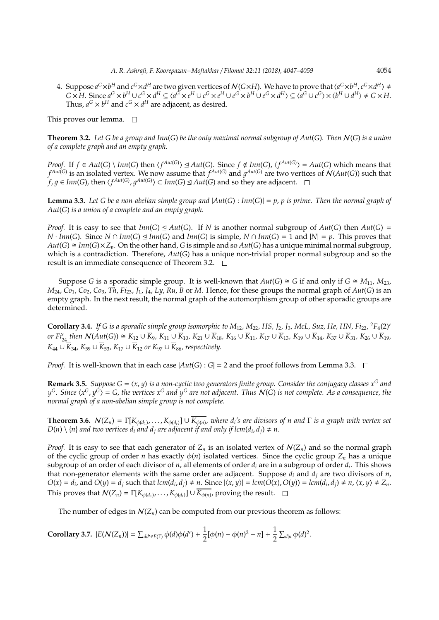4. Suppose  $a^G\times b^H$  and  $c^G\times d^H$  are two given vertices of  $\mathcal{N}(G\times H)$ . We have to prove that  $\langle a^G\times b^H, c^G\times d^H\rangle\neq 0$  $G \times H$ . Since  $a^G \times b^H \cup c^G \times d^H \subseteq \langle a^{\tilde{G}} \times e^H \cup c^G \times e^H \cup e^G \times b^H \cup e^G \times d^H \rangle \subseteq \langle a^G \cup c^G \rangle \times \langle b^H \cup d^H \rangle \neq G \times H$ . Thus,  $a^G \times b^H$  and  $c^G \times d^H$  are adjacent, as desired.

This proves our lemma.  $\square$ 

**Theorem 3.2.** *Let G be a group and Inn*(*G*) *be the only maximal normal subgroup of Aut*(*G*)*. Then* N(*G*) *is a union of a complete graph and an empty graph.*

*Proof.* If  $f \in Aut(G) \setminus Inn(G)$  then  $\langle f^{Aut(G)} \rangle \trianglelefteq Aut(G)$ . Since  $f \notin Inn(G)$ ,  $\langle f^{Aut(G)} \rangle = Aut(G)$  which means that  $f^{Aut(G)}$  is an isolated vertex. We now assume that  $f^{Aut(G)}$  and  $g^{Aut(G)}$  are two vertices of  $N(Aut(G))$  such that *f*, *g* ∈ *Inn*(*G*), then  $\langle f^{Aut(G)}, g^{Aut(G)} \rangle$  ⊂ *Inn*(*G*) ⊴ *Aut*(*G*) and so they are adjacent.

**Lemma 3.3.** Let G be a non-abelian simple group and  $|Aut(G) : Inn(G)| = p$ , p is prime. Then the normal graph of *Aut*(*G*) *is a union of a complete and an empty graph.*

*Proof.* It is easy to see that  $Im(G) \trianglelefteq Aut(G)$ . If *N* is another normal subgroup of  $Aut(G)$  then  $Aut(G)$  = *N* · *Inn*(*G*). Since *N* ∩ *Inn*(*G*)  $\trianglelefteq$  *Inn*(*G*) and *Inn*(*G*) is simple, *N* ∩ *Inn*(*G*) = 1 and  $|N| = p$ . This proves that  $Aut(G) \cong Inn(G) \times Z_p$ . On the other hand, *G* is simple and so  $Aut(G)$  has a unique minimal normal subgroup, which is a contradiction. Therefore, *Aut*(*G*) has a unique non-trivial proper normal subgroup and so the result is an immediate consequence of Theorem 3.2.  $\Box$ 

Suppose *G* is a sporadic simple group. It is well-known that  $Aut(G) \cong G$  if and only if  $G \cong M_{11}$ ,  $M_{23}$ , *M*24, *Co*1, *Co*2, *Co*3, *Th*, *Fi*23, *J*1, *J*4, *Ly*, *Ru*, *B* or *M*. Hence, for these groups the normal graph of *Aut*(*G*) is an empty graph. In the next result, the normal graph of the automorphism group of other sporadic groups are determined.

**Corollary 3.4.** If G is a sporadic simple group isomorphic to M<sub>12</sub>, M<sub>22</sub>, HS, J<sub>2</sub>, J<sub>3</sub>, McL, Suz, He, HN, Fi<sub>22</sub>, <sup>2</sup>F<sub>4</sub>(2)' or Fi<sub>24</sub> then  $\mathcal{N}(Aut(G)) \cong K_{12} \cup \overline{K}_9$ ,  $K_{11} \cup \overline{K}_{10}$ ,  $K_{21} \cup \overline{K}_{18}$ ,  $K_{16} \cup \overline{K}_{11}$ ,  $K_{17} \cup \overline{K}_{13}$ ,  $K_{19} \cup \overline{K}_{14}$ ,  $K_{37} \cup \overline{K}_{31}$ ,  $K_{26} \cup \overline{K}_{19}$ ,  $K_{44}$  ∪  $\overline{K}_{34}$ ,  $K_{59}$  ∪  $\overline{K}_{53}$ ,  $K_{17}$  ∪  $\overline{K}_{12}$  *or*  $K_{97}$  ∪  $\overline{K}_{86}$ *, respectively.* 

*Proof.* It is well-known that in each case  $|Aut(G): G| = 2$  and the proof follows from Lemma 3.3.  $\Box$ 

**Remark 3.5.** *Suppose G* =  $\langle x, y \rangle$  *is a non-cyclic two generators finite group. Consider the conjugacy classes*  $x^G$  *and*  $y^G$ . Since  $\langle x^G, y^G\rangle = G$ , the vertices  $x^G$  and  $y^G$  are not adjacent. Thus  $\mathcal{N}(G)$  is not complete. As a consequence, the *normal graph of a non-abelian simple group is not complete.*

**Theorem 3.6.**  $N(Z_n) = \Gamma[K_{\phi(d_1)}, \ldots, K_{\phi(d_t)}] \cup \overline{K_{\phi(n)}}$ , where d<sub>i</sub>'s are divisors of n and  $\Gamma$  is a graph with vertex set  $D(n) \setminus \{n\}$  and two vertices  $d_i$  and  $d_j$  are adjacent if and only if lcm( $d_i$ ,  $d_j$ )  $\neq n$ .

*Proof.* It is easy to see that each generator of  $Z_n$  is an isolated vertex of  $\mathcal{N}(Z_n)$  and so the normal graph of the cyclic group of order *n* has exactly  $\phi(n)$  isolated vertices. Since the cyclic group  $Z_n$  has a unique subgroup of an order of each divisor of *n*, all elements of order *d<sup>i</sup>* are in a subgroup of order *d<sup>i</sup>* . This shows that non-generator elements with the same order are adjacent. Suppose *d<sup>i</sup>* and *d<sup>j</sup>* are two divisors of *n*,  $O(x) = d_i$ , and  $O(y) = d_j$  such that  $lcm(d_i, d_j) \neq n$ . Since  $|\langle x, y \rangle| = lcm(\tilde{O}(x), O(y)) = lcm(d_i, d_j) \neq n$ ,  $\langle x, y \rangle \neq Z_n$ . This proves that  $\mathcal{N}(Z_n) = \Gamma[K_{\phi(d_1)}, \dots, K_{\phi(d_t)}] \cup \overline{K_{\phi(n)}}$ , proving the result.

The number of edges in  $\mathcal{N}(Z_n)$  can be computed from our previous theorem as follows:

**Corollary 3.7.** 
$$
|E(N(Z_n))| = \sum_{dd' \in E(\Gamma)} \phi(d)\phi(d') + \frac{1}{2}[\phi(n) - \phi(n)^2 - n] + \frac{1}{2}\sum_{d|n} \phi(d)^2
$$
.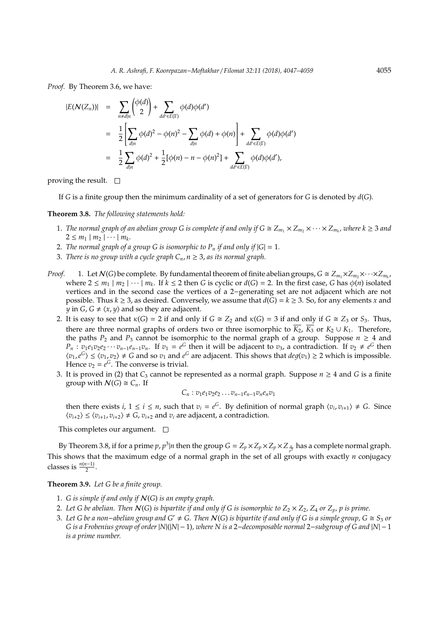*Proof.* By Theorem 3.6, we have:

$$
|E(\mathcal{N}(Z_n))| = \sum_{n \neq d|n} \left(\frac{\phi(d)}{2}\right) + \sum_{dd' \in E(\Gamma)} \phi(d)\phi(d')
$$
  
= 
$$
\frac{1}{2} \left[ \sum_{d|n} \phi(d)^2 - \phi(n)^2 - \sum_{d|n} \phi(d) + \phi(n) \right] + \sum_{dd' \in E(\Gamma)} \phi(d)\phi(d')
$$
  
= 
$$
\frac{1}{2} \sum_{d|n} \phi(d)^2 + \frac{1}{2} [\phi(n) - n - \phi(n)^2] + \sum_{dd' \in E(\Gamma)} \phi(d)\phi(d'),
$$

proving the result.  $\square$ 

If *G* is a finite group then the minimum cardinality of a set of generators for *G* is denoted by *d*(*G*).

#### **Theorem 3.8.** *The following statements hold:*

- 1. *The normal graph of an abelian group G is complete if and only if*  $G \cong Z_{m_1} \times Z_{m_2} \times \cdots \times Z_{m_k}$ *, where k*  $\geq 3$  *and*  $2 \leq m_1 \mid m_2 \mid \cdots \mid m_k$ .
- 2. *The normal graph of a group G is isomorphic to*  $P_n$  *if and only if*  $|G| = 1$ *.*
- 3. *There is no group with a cycle graph*  $C_n$ ,  $n \geq 3$ , *as its normal graph.*
- *Proof.* 1. Let  $\mathcal{N}(G)$  be complete. By fundamental theorem of finite abelian groups,  $G \cong Z_{m_1} \times Z_{m_2} \times \cdots \times Z_{m_k}$ where  $2 \le m_1 \mid m_2 \mid \cdots \mid m_k$ . If  $k \le 2$  then *G* is cyclic or  $d(G) = 2$ . In the first case, *G* has  $\phi(n)$  isolated vertices and in the second case the vertices of a 2−generating set are not adjacent which are not possible. Thus  $k \geq 3$ , as desired. Conversely, we assume that  $d(G) = k \geq 3$ . So, for any elements *x* and *y* in *G*, *G*  $\neq$   $\langle x, y \rangle$  and so they are adjacent.
	- 2. It is easy to see that  $\kappa(G) = 2$  if and only if  $G \cong Z_2$  and  $\kappa(G) = 3$  if and only if  $G \cong Z_3$  or  $S_3$ . Thus, there are three normal graphs of orders two or three isomorphic to  $\overline{K_2}$ ,  $\overline{K_3}$  or  $K_2 \cup K_1$ . Therefore, the paths  $P_2$  and  $P_3$  cannot be isomorphic to the normal graph of a group. Suppose  $n \geq 4$  and  $P_n$ :  $v_1e_1v_2e_2\cdots v_{n-1}e_{n-1}v_n$ . If  $v_1=e^G$  then it will be adjacent to  $v_3$ , a contradiction. If  $v_2\neq e^G$  then  $\langle v_1, e^G \rangle \le \langle v_1, v_2 \rangle \ne G$  and so  $v_1$  and  $e^G$  are adjacent. This shows that  $deg(v_1) \ge 2$  which is impossible. Hence  $v_2 = e^G$ . The converse is trivial.
	- 3. It is proved in (2) that  $C_3$  cannot be represented as a normal graph. Suppose  $n \geq 4$  and *G* is a finite group with  $\mathcal{N}(G) \cong C_n$ . If

$$
C_n : v_1e_1v_2e_2\ldots v_{n-1}e_{n-1}v_ne_nv_1
$$

then there exists *i*,  $1 \le i \le n$ , such that  $v_i = e^G$ . By definition of normal graph  $\langle v_i, v_{i+1} \rangle \ne G$ . Since  $\langle v_{i+2} \rangle \leq \langle v_{i+1}, v_{i+2} \rangle \neq G$ ,  $v_{i+2}$  and  $v_i$  are adjacent, a contradiction.

This completes our argument.  $\square$ 

By Theorem 3.8, if for a prime  $p$ ,  $p^3|n$  then the group  $G = Z_p \times Z_p \times Z_p \times Z_{\frac{n}{p^3}}$  has a complete normal graph. This shows that the maximum edge of a normal graph in the set of all groups with exactly *n* conjugacy classes is  $\frac{n(n-1)}{2}$ .

**Theorem 3.9.** *Let G be a finite group.*

- 1. *G is simple if and only if* N(*G*) *is an empty graph.*
- 2. Let G be abelian. Then  $N(G)$  is bipartite if and only if G is isomorphic to  $Z_2 \times Z_2$ ,  $Z_4$  or  $Z_p$ , p is prime.
- 3. Let G be a non–abelian group and G'  $\neq$  G. Then  $N(G)$  is bipartite if and only if G is a simple group,  $G \cong S_3$  or *G is a Frobenius group of order* |*N*|(|*N*| −1)*, where N is a* 2−*decomposable normal* 2−*subgroup of G and* |*N*| −1 *is a prime number.*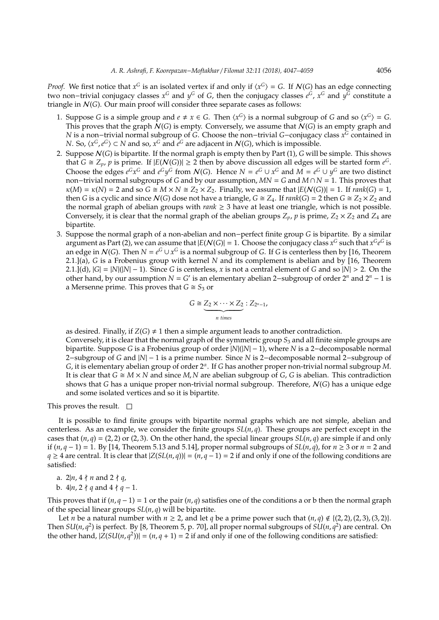*Proof.* We first notice that  $x^G$  is an isolated vertex if and only if  $\langle x^G \rangle = G$ . If  $\mathcal{N}(G)$  has an edge connecting two non–trivial conjugacy classes *x*<sup>G</sup> and *y*<sup>G</sup> of *G*, then the conjugacy classes *e*<sup>G</sup>, *x*<sup>G</sup> and *y*<sup>G</sup> constitute a triangle in N(*G*). Our main proof will consider three separate cases as follows:

- 1. Suppose *G* is a simple group and  $e \neq x \in G$ . Then  $\langle x^G \rangle$  is a normal subgroup of *G* and so  $\langle x^G \rangle = G$ . This proves that the graph  $\mathcal{N}(G)$  is empty. Conversely, we assume that  $\mathcal{N}(G)$  is an empty graph and *N* is a non−trivial normal subgroup of *G*. Choose the non−trivial *G*−conjugacy class *x <sup>G</sup>* contained in *N*. So,  $\langle x^G, e^G \rangle \subset N$  and so,  $x^G$  and  $e^G$  are adjacent in  $\mathcal{N}(G)$ , which is impossible.
- 2. Suppose N(*G*) is bipartite. If the normal graph is empty then by Part (1), *G* will be simple. This shows that  $G \cong Z_p$ ,  $p$  is prime. If  $|E(N(G))| \ge 2$  then by above discussion all edges will be started form  $e^G$ . Choose the edges  $e^G x^G$  and  $e^G y^G$  from  $\mathcal{N}(G)$ . Hence  $N = e^G \cup x^G$  and  $M = e^G \cup y^G$  are two distinct non−trivial normal subgroups of *G* and by our assumption, *MN* = *G* and *M* ∩ *N* = 1. This proves that  $\kappa(M) = \kappa(N) = 2$  and so  $G \cong M \times N \cong Z_2 \times Z_2$ . Finally, we assume that  $|E(N(G))| = 1$ . If *rank*(*G*) = 1, then *G* is a cyclic and since  $N(G)$  dose not have a triangle,  $G \cong Z_4$ . If *rank*(*G*) = 2 then  $G \cong Z_2 \times Z_2$  and the normal graph of abelian groups with  $rank \geq 3$  have at least one triangle, which is not possible. Conversely, it is clear that the normal graph of the abelian groups  $Z_p$ ,  $p$  is prime,  $Z_2 \times Z_2$  and  $Z_4$  are bipartite.
- 3. Suppose the normal graph of a non-abelian and non−perfect finite group *G* is bipartite. By a similar argument as Part (2), we can assume that  $|E(\mathcal{N}(G)| = 1$ . Choose the conjugacy class  $x^G$  such that  $x^Ge^G$  is an edge in  $N(G)$ . Then  $N = e^G \cup x^G$  is a normal subgroup of *G*. If *G* is centerless then by [16, Theorem 2.1.](a), *G* is a Frobenius group with kernel *N* and its complement is abelian and by [16, Theorem 2.1.](d),  $|G| = |N|(|N| - 1)$ . Since *G* is centerless, *x* is not a central element of *G* and so  $|N| > 2$ . On the other hand, by our assumption  $N = G'$  is an elementary abelian 2-subgroup of order  $2^n$  and  $2^n - 1$  is a Mersenne prime. This proves that  $G \cong S_3$  or

$$
G \cong \underbrace{Z_2 \times \cdots \times Z_2}_{n \text{ times}} : Z_{2^n-1},
$$

as desired. Finally, if  $Z(G) \neq 1$  then a simple argument leads to another contradiction. Conversely, it is clear that the normal graph of the symmetric group *S*<sup>3</sup> and all finite simple groups are bipartite. Suppose *G* is a Frobenius group of order |*N*|(|*N*| − 1), where *N* is a 2−decomposable normal 2−subgroup of *G* and |*N*| − 1 is a prime number. Since *N* is 2−decomposable normal 2−subgroup of *G*, it is elementary abelian group of order 2<sup>α</sup> . If *G* has another proper non-trivial normal subgroup *M*. It is clear that  $G \cong M \times N$  and since  $M$ ,  $N$  are abelian subgroup of  $G$ ,  $G$  is abelian. This contradiction shows that *G* has a unique proper non-trivial normal subgroup. Therefore, N(*G*) has a unique edge and some isolated vertices and so it is bipartite.

This proves the result.  $\square$ 

It is possible to find finite groups with bipartite normal graphs which are not simple, abelian and centerless. As an example, we consider the finite groups  $SL(n, q)$ . These groups are perfect except in the cases that  $(n, q) = (2, 2)$  or  $(2, 3)$ . On the other hand, the special linear groups  $SL(n, q)$  are simple if and only if  $(n, q - 1) = 1$ . By [14, Theorem 5.13 and 5.14], proper normal subgroups of *SL*( $n, q$ ), for  $n ≥ 3$  or  $n = 2$  and *q* ≥ 4 are central. It is clear that  $|Z(SL(n, q))| = (n, q - 1) = 2$  if and only if one of the following conditions are satisfied:

- a.  $2|n, 4 \nmid n$  and  $2 \nmid q$ ,
- b.  $4|n, 2 \nmid q$  and  $4 \nmid q-1$ .

This proves that if (*n*, *q* − 1) = 1 or the pair (*n*, *q*) satisfies one of the conditions a or b then the normal graph of the special linear groups *SL*(*n*, *q*) will be bipartite.

Let *n* be a natural number with  $n \geq 2$ , and let *q* be a prime power such that  $(n, q) \notin \{(2, 2), (2, 3), (3, 2)\}.$ Then  $SU(n, q^2)$  is perfect. By [8, Theorem 5, p. 70], all proper normal subgroups of  $SU(n, q^2)$  are central. On the other hand,  $|\bar{Z}(SU(n, q^2))| = (n, q + 1) = 2$  if and only if one of the following conditions are satisfied: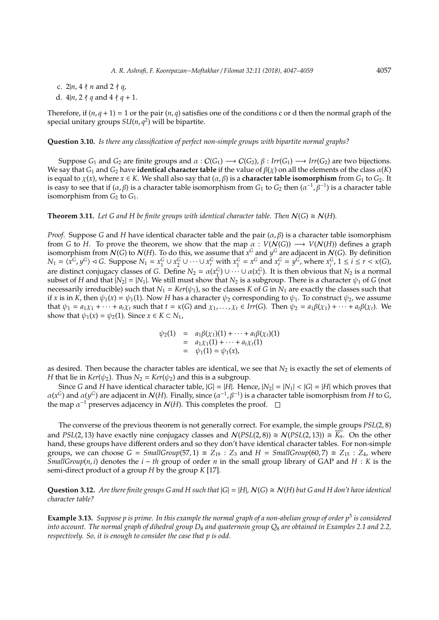- c.  $2|n, 4 \nmid n$  and  $2 \nmid q$ ,
- d.  $4|n, 2 \nmid q$  and  $4 \nmid q + 1$ .

Therefore, if  $(n, q + 1) = 1$  or the pair  $(n, q)$  satisfies one of the conditions c or d then the normal graph of the special unitary groups *SU*(*n*, *q* 2 ) will be bipartite.

**Question 3.10.** *Is there any classification of perfect non-simple groups with bipartite normal graphs?*

Suppose  $G_1$  and  $G_2$  are finite groups and  $\alpha$  :  $C(G_1) \longrightarrow C(G_2)$ ,  $\beta$  :  $Irr(G_1) \longrightarrow Irr(G_2)$  are two bijections. We say that  $G_1$  and  $G_2$  have **identical character table** if the value of  $\beta(\chi)$  on all the elements of the class  $\alpha(K)$ is equal to *χ*(*x*), where *x* ∈ *K*. We shall also say that  $(α, β)$  is a **character table isomorphism** from  $G_1$  to  $G_2$ . It is easy to see that if  $(\alpha, \beta)$  is a character table isomorphism from  $G_1$  to  $G_2$  then  $(\alpha^{-1}, \beta^{-1})$  is a character table isomorphism from *G*<sup>2</sup> to *G*1.

**Theorem 3.11.** Let G and H be finite groups with identical character table. Then  $N(G) \cong N(H)$ .

*Proof.* Suppose *G* and *H* have identical character table and the pair  $(\alpha, \beta)$  is a character table isomorphism from *G* to *H*. To prove the theorem, we show that the map  $\alpha : V(N(G)) \longrightarrow V(N(H))$  defines a graph isomorphism from  $N(G)$  to  $N(H)$ . To do this, we assume that  $x^G$  and  $y^G$  are adjacent in  $N(G)$ . By definition  $N_1 = \langle x^G, y^G \rangle \triangleleft G$ . Suppose  $N_1 = x_1^G \cup x_2^G \cup \cdots \cup x_r^G$  with  $x_1^G = x^G$  and  $x_r^G = y^G$ , where  $x_i^G$ ,  $1 \le i \le r < \kappa(G)$ , are distinct conjugacy classes of *G*. Define  $N_2 = \alpha(x_1^G) \cup \cdots \cup \alpha(x_r^G)$ . It is then obvious that  $N_2$  is a normal subset of *H* and that  $|N_2| = |N_1|$ . We still must show that  $N_2$  is a subgroup. There is a character  $\psi_1$  of *G* (not necessarily irreducible) such that  $N_1 = Ker(\psi_1)$ , so the classes *K* of *G* in  $N_1$  are exactly the classes such that if *x* is in *K*, then  $\psi_1(x) = \psi_1(1)$ . Now *H* has a character  $\psi_2$  corresponding to  $\psi_1$ . To construct  $\psi_2$ , we assume that  $\psi_1 = a_1 \chi_1 + \cdots + a_t \chi_t$  such that  $t = \kappa(G)$  and  $\chi_1, \ldots, \chi_t \in Irr(G)$ . Then  $\psi_2 = a_1 \beta(\chi_1) + \cdots + a_t \beta(\chi_t)$ . We show that  $\psi_1(x) = \psi_2(1)$ . Since  $x \in K \subset N_1$ ,

$$
\psi_2(1) = a_1 \beta(\chi_1)(1) + \cdots + a_t \beta(\chi_t)(1) \n= a_1 \chi_1(1) + \cdots + a_t \chi_t(1) \n= \psi_1(1) = \psi_1(x),
$$

as desired. Then because the character tables are identical, we see that  $N_2$  is exactly the set of elements of *H* that lie in *Ker*( $\psi_2$ ). Thus  $N_2 = \text{Ker}(\psi_2)$  and this is a subgroup.

Since *G* and *H* have identical character table,  $|G| = |H|$ . Hence,  $|N_2| = |N_1| < |G| = |H|$  which proves that  $\alpha(x^G)$  and  $\alpha(y^G)$  are adjacent in  $\mathcal{N}(H)$ . Finally, since  $(\alpha^{-1}, \beta^{-1})$  is a character table isomorphism from *H* to *G*, the map  $\alpha^{-1}$  preserves adjacency in  $\mathcal{N}(H)$ . This completes the proof.

The converse of the previous theorem is not generally correct. For example, the simple groups *PSL*(2, 8) and *PSL*(2, 13) have exactly nine conjugacy classes and  $N(PSL(2, 8)) \cong N(PSL(2, 13)) \cong \overline{K_9}$ . On the other hand, these groups have different orders and so they don't have identical character tables. For non-simple groups, we can choose  $G = SmallGroup(57,1) \cong Z_{19} : Z_3$  and  $H = SmallGroup(60,7) \cong Z_{15} : Z_4$ , where *SmallGroup*( $n, i$ ) denotes the  $i - th$  group of order  $n$  in the small group library of GAP and  $H : K$  is the semi-direct product of a group *H* by the group *K* [17].

**Question 3.12.** Are there finite groups G and H such that  $|G| = |H|$ ,  $N(G) \cong N(H)$  but G and H don't have identical *character table?*

**Example 3.13.** *Suppose p is prime. In this example the normal graph of a non-abelian group of order p*<sup>3</sup> *is considered into account. The normal graph of dihedral group D*<sup>8</sup> *and quaternoin group Q*<sup>8</sup> *are obtained in Examples 2.1 and 2.2, respectively. So, it is enough to consider the case that p is odd.*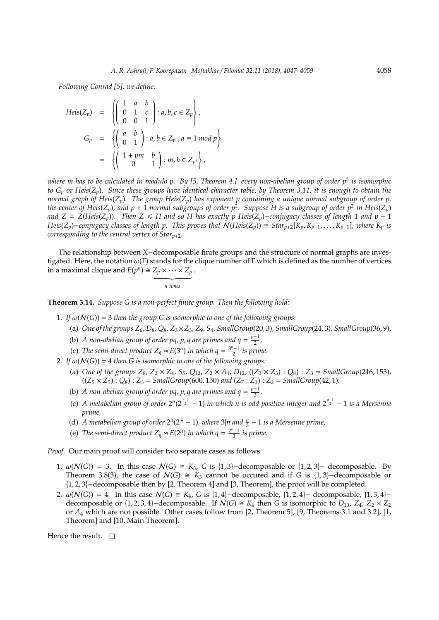*Following Conrad [5], we define:*

$$
Heis(Z_p) = \left\{ \begin{pmatrix} 1 & a & b \\ 0 & 1 & c \\ 0 & 0 & 1 \end{pmatrix} : a, b, c \in Z_p \right\},\
$$
  
\n
$$
G_p = \left\{ \begin{pmatrix} a & b \\ 0 & 1 \end{pmatrix} : a, b \in Z_{p^2}, a \equiv 1 \mod p \right\}
$$
  
\n
$$
= \left\{ \begin{pmatrix} 1 + pm & b \\ 0 & 1 \end{pmatrix} : m, b \in Z_{p^2} \right\},\
$$

*where m has to be calculated in modulo p. By [5, Theorem 4.] every non-abelian group of order p*<sup>3</sup> *is isomorphic to G<sup>p</sup> or Heis*(*Zp*)*. Since these groups have identical character table, by Theorem 3.11, it is enough to obtain the normal graph of Heis*(*Zp*)*. The group Heis*(*Zp*) *has exponent p containing a unique normal subgroup of order p, the center of Heis*(*Zp*)*, and p* + 1 *normal subgroups of order p*<sup>2</sup> *. Suppose H is a subgroup of order p*<sup>2</sup> *in Heis*(*Zp*) *and*  $Z = Z(Heis(Z_p))$ . Then  $Z \leq H$  and so H has exactly p Heis( $Z_p$ )–*conjugacy classes of length* 1 *and*  $p - 1$ Heis( $Z_p$ )-conjugacy classes of length p. This proves that  $N(Heis(Z_p)) \cong Star_{p+2}[K_p, K_{p-1}, \ldots, K_{p-1}]$ , where  $K_p$  is *corresponding to the central vertex of Star<sup>p</sup>*+2*.*

The relationship between *X*−decomposable finite groups and the structure of normal graphs are investigated. Here, the notation  $\omega(\Gamma)$  stands for the clique number of  $\Gamma$  which is defined as the number of vertices in a maximal clique and  $E(p^n) \cong Z_p \times \cdots \times Z_p$ .

> $\overbrace{ \qquad \qquad \text{if image}}$ *n times*

**Theorem 3.14.** *Suppose G is a non-perfect finite group. Then the following hold:*

- 1. If  $\omega(N(G)) = 3$  *then the group G is isomorphic to one of the following groups:* 
	- (a) *One of the groups Z*6*, D*8*, Q*8*, Z*3×*Z*3*, Z*9*, S*4*, SmallGroup*(20, 3)*, SmallGroup*(24, 3)*, SmallGroup*(36, 9)*,*
	- (b) *A* non-abelian group of order pq, p, q are primes and  $q = \frac{p-1}{2}$  $\frac{-1}{2}$ ,
	- (c) *The semi-direct product*  $Z_q \approx E(3^n)$  *in which*  $q = \frac{3^n 1}{2}$  *is prime.*
- 2. If  $\omega(N(G)) = 4$  *then* G *is isomorphic to one of the following groups:* 
	- (a) *One of the groups*  $Z_8$ *,*  $Z_2 \times Z_4$ *, S*<sub>5</sub>*,* Q<sub>12</sub>*,*  $Z_2 \times A_4$ *, D*<sub>12</sub>*,* (( $Z_3 \times Z_3$ ) : Q<sub>8</sub>) :  $Z_3$  = *SmallGroup*(216*,* 153)*,*  $((Z_5 \times Z_5) : Q_8) : Z_3 = SmallGroup(600,150)$  and  $(Z_7 : Z_3) : Z_2 = SmallGroup(42,1)$ .
	- (b) *A* non-abelian group of order pq, p, q are primes and  $q = \frac{p-1}{3}$  $\frac{-1}{3}$ ,
	- (c) A metabelian group of order  $2^n(2^{\frac{n-1}{2}} 1)$  in which n is odd positive integer and  $2^{\frac{n-1}{2}} 1$  is a Mersenne *prime,*
	- (d) *A* metabelian group of order  $2^n(2^{\frac{n}{3}} 1)$ , where  $3|n$  and  $\frac{n}{3} 1$  is a Mersenne prime,
	- (e) *The semi-direct product*  $Z_q \rtimes E(2^n)$  *in which*  $q = \frac{2^n 1}{3}$  *is prime.*

*Proof.* Our main proof will consider two separate cases as follows:

- 1.  $\omega(N(G)) = 3$ . In this case  $N(G) \cong K_3$ , *G* is {1, 3}–decomposable or {1, 2, 3}– decomposable. By Theorem 3.8(3), the case of  $\mathcal{N}(G) \cong K_3$  cannot be occured and if *G* is {1,3}−decomposable or {1, 2, 3}−decomposable then by [2, Theorem 4] and [3, Theorem], the proof will be completed.
- 2.  $\omega(N(G)) = 4$ . In this case  $N(G) \cong K_4$ , *G* is {1, 4}−decomposable, {1, 2, 4}− decomposable, {1, 3, 4}− decomposable or  $\{1, 2, 3, 4\}$ −decomposable. If  $N(G) \cong K_4$  then *G* is isomorphic to *D*<sub>10</sub>, *Z*<sub>4</sub>, *Z*<sub>2</sub> × *Z*<sub>2</sub> or *A*<sup>4</sup> which are not possible. Other cases follow from [2, Theorem 5], [9, Theorems 3.1 and 3.2], [1, Theorem] and [10, Main Theorem].

Hence the result.  $\square$